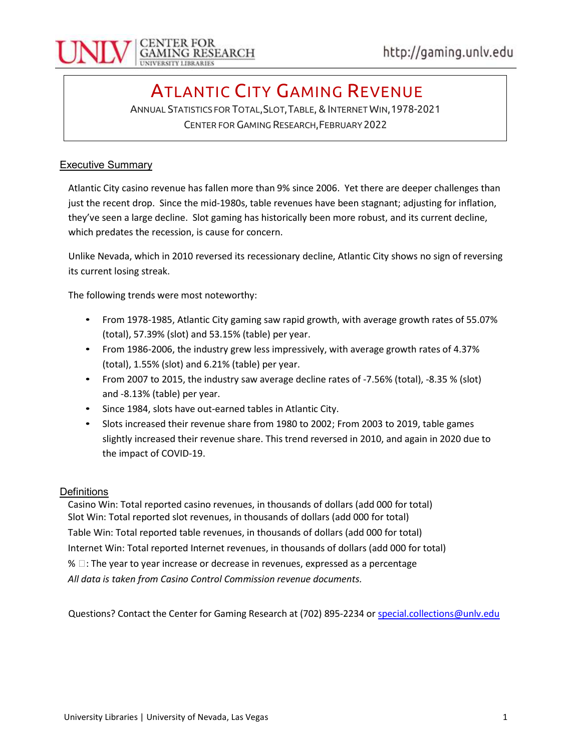

## ATLANTIC CITY GAMING REVENUE

ANNUAL STATISTICS FOR TOTAL,SLOT,TABLE, & INTERNET WIN,1978-2021 CENTER FOR GAMING RESEARCH,FEBRUARY 2022

## **Executive Summary**

Atlantic City casino revenue has fallen more than 9% since 2006. Yet there are deeper challenges than just the recent drop. Since the mid-1980s, table revenues have been stagnant; adjusting for inflation, they've seen a large decline. Slot gaming has historically been more robust, and its current decline, which predates the recession, is cause for concern.

Unlike Nevada, which in 2010 reversed its recessionary decline, Atlantic City shows no sign of reversing its current losing streak.

The following trends were most noteworthy:

- From 1978-1985, Atlantic City gaming saw rapid growth, with average growth rates of 55.07% (total), 57.39% (slot) and 53.15% (table) per year.
- From 1986-2006, the industry grew less impressively, with average growth rates of 4.37% (total), 1.55% (slot) and 6.21% (table) per year.
- From 2007 to 2015, the industry saw average decline rates of -7.56% (total), -8.35 % (slot) and -8.13% (table) per year.
- Since 1984, slots have out-earned tables in Atlantic City.
- Slots increased their revenue share from 1980 to 2002; From 2003 to 2019, table games slightly increased their revenue share. This trend reversed in 2010, and again in 2020 due to the impact of COVID-19.

## **Definitions**

Casino Win: Total reported casino revenues, in thousands of dollars (add 000 for total) Slot Win: Total reported slot revenues, in thousands of dollars (add 000 for total) Table Win: Total reported table revenues, in thousands of dollars (add 000 for total) Internet Win: Total reported Internet revenues, in thousands of dollars (add 000 for total)  $% \Box$ : The year to year increase or decrease in revenues, expressed as a percentage All data is taken from Casino Control Commission revenue documents.

Questions? Contact the Center for Gaming Research at (702) 895-2234 or special.collections@unly.edu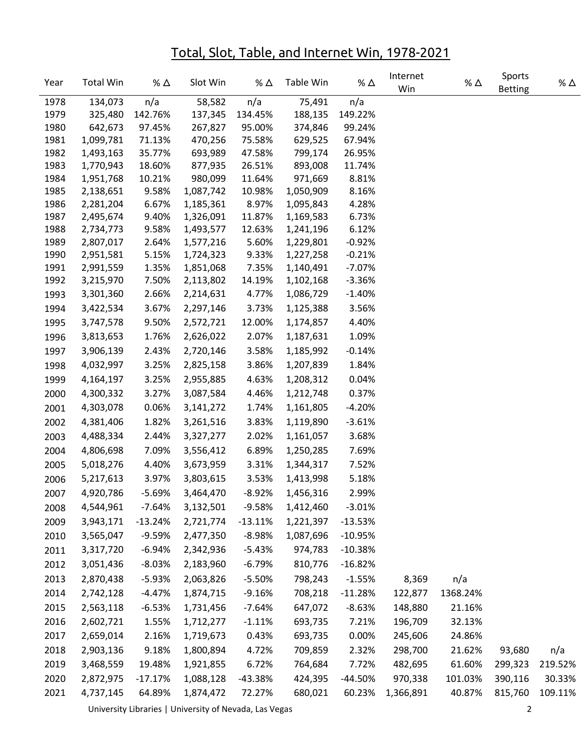## Total, Slot, Table, and Internet Win, 1978-2021

| Year | <b>Total Win</b> | % ∆       | Slot Win  | % ∆       | Table Win | % $\Delta$ | Internet<br>Win | % $\Delta$ | Sports<br><b>Betting</b> | % Δ     |
|------|------------------|-----------|-----------|-----------|-----------|------------|-----------------|------------|--------------------------|---------|
| 1978 | 134,073          | n/a       | 58,582    | n/a       | 75,491    | n/a        |                 |            |                          |         |
| 1979 | 325,480          | 142.76%   | 137,345   | 134.45%   | 188,135   | 149.22%    |                 |            |                          |         |
| 1980 | 642,673          | 97.45%    | 267,827   | 95.00%    | 374,846   | 99.24%     |                 |            |                          |         |
| 1981 | 1,099,781        | 71.13%    | 470,256   | 75.58%    | 629,525   | 67.94%     |                 |            |                          |         |
| 1982 | 1,493,163        | 35.77%    | 693,989   | 47.58%    | 799,174   | 26.95%     |                 |            |                          |         |
| 1983 | 1,770,943        | 18.60%    | 877,935   | 26.51%    | 893,008   | 11.74%     |                 |            |                          |         |
| 1984 | 1,951,768        | 10.21%    | 980,099   | 11.64%    | 971,669   | 8.81%      |                 |            |                          |         |
| 1985 | 2,138,651        | 9.58%     | 1,087,742 | 10.98%    | 1,050,909 | 8.16%      |                 |            |                          |         |
| 1986 | 2,281,204        | 6.67%     | 1,185,361 | 8.97%     | 1,095,843 | 4.28%      |                 |            |                          |         |
| 1987 | 2,495,674        | 9.40%     | 1,326,091 | 11.87%    | 1,169,583 | 6.73%      |                 |            |                          |         |
| 1988 | 2,734,773        | 9.58%     | 1,493,577 | 12.63%    | 1,241,196 | 6.12%      |                 |            |                          |         |
| 1989 | 2,807,017        | 2.64%     | 1,577,216 | 5.60%     | 1,229,801 | $-0.92%$   |                 |            |                          |         |
| 1990 | 2,951,581        | 5.15%     | 1,724,323 | 9.33%     | 1,227,258 | $-0.21%$   |                 |            |                          |         |
| 1991 | 2,991,559        | 1.35%     | 1,851,068 | 7.35%     | 1,140,491 | $-7.07%$   |                 |            |                          |         |
| 1992 | 3,215,970        | 7.50%     | 2,113,802 | 14.19%    | 1,102,168 | $-3.36%$   |                 |            |                          |         |
| 1993 | 3,301,360        | 2.66%     | 2,214,631 | 4.77%     | 1,086,729 | $-1.40%$   |                 |            |                          |         |
| 1994 | 3,422,534        | 3.67%     | 2,297,146 | 3.73%     | 1,125,388 | 3.56%      |                 |            |                          |         |
| 1995 | 3,747,578        | 9.50%     | 2,572,721 | 12.00%    | 1,174,857 | 4.40%      |                 |            |                          |         |
| 1996 | 3,813,653        | 1.76%     | 2,626,022 | 2.07%     | 1,187,631 | 1.09%      |                 |            |                          |         |
| 1997 | 3,906,139        | 2.43%     | 2,720,146 | 3.58%     | 1,185,992 | $-0.14%$   |                 |            |                          |         |
| 1998 | 4,032,997        | 3.25%     | 2,825,158 | 3.86%     | 1,207,839 | 1.84%      |                 |            |                          |         |
| 1999 | 4,164,197        | 3.25%     | 2,955,885 | 4.63%     | 1,208,312 | 0.04%      |                 |            |                          |         |
| 2000 | 4,300,332        | 3.27%     | 3,087,584 | 4.46%     | 1,212,748 | 0.37%      |                 |            |                          |         |
| 2001 | 4,303,078        | 0.06%     | 3,141,272 | 1.74%     | 1,161,805 | $-4.20%$   |                 |            |                          |         |
| 2002 | 4,381,406        | 1.82%     | 3,261,516 | 3.83%     | 1,119,890 | $-3.61%$   |                 |            |                          |         |
| 2003 | 4,488,334        | 2.44%     | 3,327,277 | 2.02%     | 1,161,057 | 3.68%      |                 |            |                          |         |
| 2004 | 4,806,698        | 7.09%     | 3,556,412 | 6.89%     | 1,250,285 | 7.69%      |                 |            |                          |         |
| 2005 | 5,018,276        | 4.40%     | 3,673,959 | 3.31%     | 1,344,317 | 7.52%      |                 |            |                          |         |
| 2006 | 5,217,613        | 3.97%     | 3,803,615 | 3.53%     | 1,413,998 | 5.18%      |                 |            |                          |         |
| 2007 | 4,920,786        | $-5.69%$  | 3,464,470 | $-8.92%$  | 1,456,316 | 2.99%      |                 |            |                          |         |
| 2008 | 4,544,961        | $-7.64%$  | 3,132,501 | $-9.58%$  | 1,412,460 | $-3.01%$   |                 |            |                          |         |
| 2009 | 3,943,171        | $-13.24%$ | 2,721,774 | $-13.11%$ | 1,221,397 | $-13.53%$  |                 |            |                          |         |
| 2010 | 3,565,047        | $-9.59%$  | 2,477,350 | $-8.98%$  | 1,087,696 | $-10.95%$  |                 |            |                          |         |
| 2011 | 3,317,720        | $-6.94%$  | 2,342,936 | $-5.43%$  | 974,783   | $-10.38%$  |                 |            |                          |         |
| 2012 | 3,051,436        | $-8.03%$  | 2,183,960 | $-6.79%$  | 810,776   | $-16.82%$  |                 |            |                          |         |
| 2013 | 2,870,438        | $-5.93%$  | 2,063,826 | $-5.50%$  | 798,243   | $-1.55%$   | 8,369           | n/a        |                          |         |
| 2014 | 2,742,128        | $-4.47%$  | 1,874,715 | $-9.16%$  | 708,218   | $-11.28%$  | 122,877         | 1368.24%   |                          |         |
| 2015 | 2,563,118        | $-6.53%$  | 1,731,456 | $-7.64%$  | 647,072   | $-8.63%$   | 148,880         | 21.16%     |                          |         |
| 2016 |                  |           |           |           | 693,735   |            | 196,709         |            |                          |         |
|      | 2,602,721        | 1.55%     | 1,712,277 | $-1.11%$  |           | 7.21%      |                 | 32.13%     |                          |         |
| 2017 | 2,659,014        | 2.16%     | 1,719,673 | 0.43%     | 693,735   | 0.00%      | 245,606         | 24.86%     |                          |         |
| 2018 | 2,903,136        | 9.18%     | 1,800,894 | 4.72%     | 709,859   | 2.32%      | 298,700         | 21.62%     | 93,680                   | n/a     |
| 2019 | 3,468,559        | 19.48%    | 1,921,855 | 6.72%     | 764,684   | 7.72%      | 482,695         | 61.60%     | 299,323                  | 219.52% |
| 2020 | 2,872,975        | $-17.17%$ | 1,088,128 | -43.38%   | 424,395   | $-44.50%$  | 970,338         | 101.03%    | 390,116                  | 30.33%  |
| 2021 | 4,737,145        | 64.89%    | 1,874,472 | 72.27%    | 680,021   | 60.23%     | 1,366,891       | 40.87%     | 815,760                  | 109.11% |

University Libraries | University of Nevada, Las Vegas 2014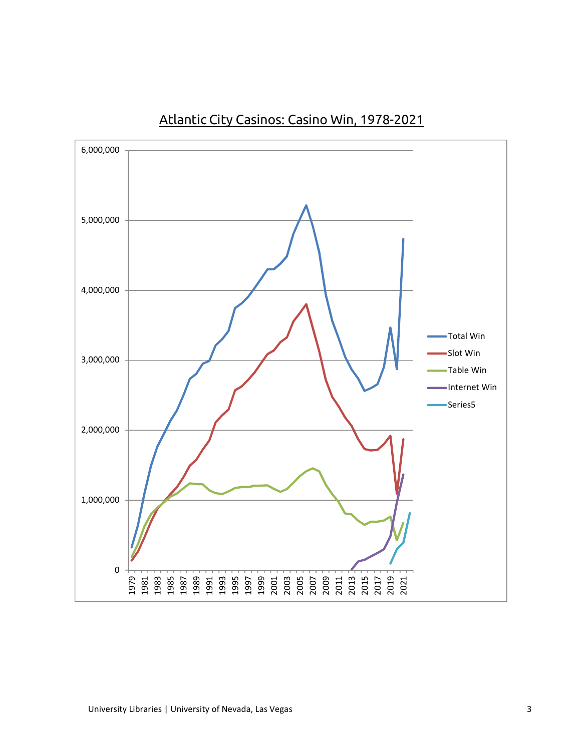

Atlantic City Casinos: Casino Win, 1978-2021